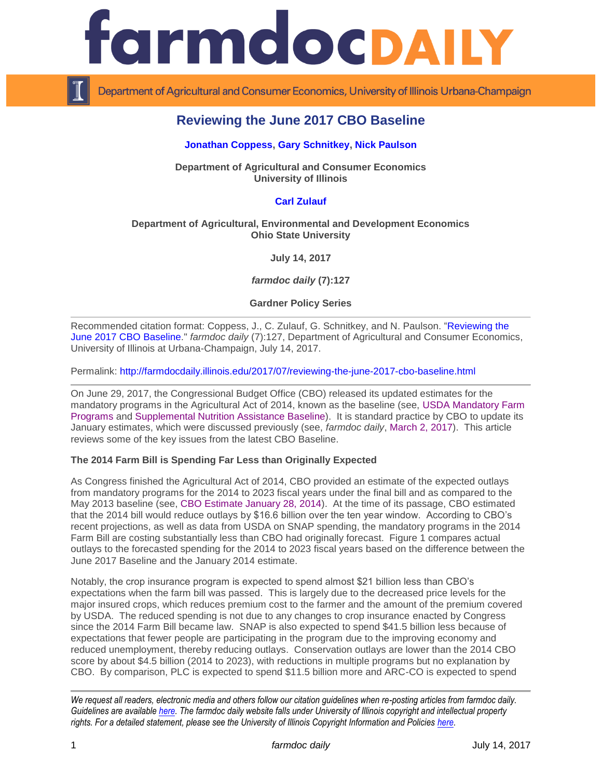

Department of Agricultural and Consumer Economics, University of Illinois Urbana-Champaign

# **Reviewing the June 2017 CBO Baseline**

## **[Jonathan Coppess,](http://farmdoc.illinois.edu/coppess) [Gary Schnitkey,](http://farmdoc.illinois.edu/schnitkey) [Nick Paulson](http://farmdoc.illinois.edu/paulson)**

**Department of Agricultural and Consumer Economics University of Illinois**

# **[Carl Zulauf](http://aede.osu.edu/our-people/carl-zulauf)**

### **Department of Agricultural, Environmental and Development Economics Ohio State University**

**July 14, 2017**

*farmdoc daily* **(7):127**

#### **Gardner Policy Series**

Recommended citation format: Coppess, J., C. Zulauf, G. Schnitkey, and N. Paulson. ["Reviewing the](http://farmdocdaily.illinois.edu/2017/07/reviewing-the-june-2017-cbo-baseline.html)  [June 2017 CBO Baseline.](http://farmdocdaily.illinois.edu/2017/07/reviewing-the-june-2017-cbo-baseline.html)" *farmdoc daily* (7):127, Department of Agricultural and Consumer Economics, University of Illinois at Urbana-Champaign, July 14, 2017.

Permalink: <http://farmdocdaily.illinois.edu/2017/07/reviewing-the-june-2017-cbo-baseline.html>

On June 29, 2017, the Congressional Budget Office (CBO) released its updated estimates for the mandatory programs in the Agricultural Act of 2014, known as the baseline (see, [USDA Mandatory Farm](https://www.cbo.gov/sites/default/files/recurringdata/51317-2017-06-usda.pdf)  [Programs](https://www.cbo.gov/sites/default/files/recurringdata/51317-2017-06-usda.pdf) and [Supplemental Nutrition Assistance Baseline\)](https://www.cbo.gov/sites/default/files/recurringdata/51312-2017-06-snap_1.pdf). It is standard practice by CBO to update its January estimates, which were discussed previously (see, *farmdoc daily*, [March 2, 2017\)](http://farmdocdaily.illinois.edu/2017/03/reviewing-cbo-baseline-for-farm-bill-spending.html). This article reviews some of the key issues from the latest CBO Baseline.

# **The 2014 Farm Bill is Spending Far Less than Originally Expected**

As Congress finished the Agricultural Act of 2014, CBO provided an estimate of the expected outlays from mandatory programs for the 2014 to 2023 fiscal years under the final bill and as compared to the May 2013 baseline (see, [CBO Estimate January 28, 2014\)](https://www.cbo.gov/sites/default/files/113th-congress-2013-2014/costestimate/hr2642lucasltr00.pdf). At the time of its passage, CBO estimated that the 2014 bill would reduce outlays by \$16.6 billion over the ten year window. According to CBO's recent projections, as well as data from USDA on SNAP spending, the mandatory programs in the 2014 Farm Bill are costing substantially less than CBO had originally forecast. Figure 1 compares actual outlays to the forecasted spending for the 2014 to 2023 fiscal years based on the difference between the June 2017 Baseline and the January 2014 estimate.

Notably, the crop insurance program is expected to spend almost \$21 billion less than CBO's expectations when the farm bill was passed. This is largely due to the decreased price levels for the major insured crops, which reduces premium cost to the farmer and the amount of the premium covered by USDA. The reduced spending is not due to any changes to crop insurance enacted by Congress since the 2014 Farm Bill became law. SNAP is also expected to spend \$41.5 billion less because of expectations that fewer people are participating in the program due to the improving economy and reduced unemployment, thereby reducing outlays. Conservation outlays are lower than the 2014 CBO score by about \$4.5 billion (2014 to 2023), with reductions in multiple programs but no explanation by CBO. By comparison, PLC is expected to spend \$11.5 billion more and ARC-CO is expected to spend

*We request all readers, electronic media and others follow our citation guidelines when re-posting articles from farmdoc daily. Guidelines are available [here.](http://farmdocdaily.illinois.edu/citationguide.html) The farmdoc daily website falls under University of Illinois copyright and intellectual property rights. For a detailed statement, please see the University of Illinois Copyright Information and Policies [here.](http://www.cio.illinois.edu/policies/copyright/)*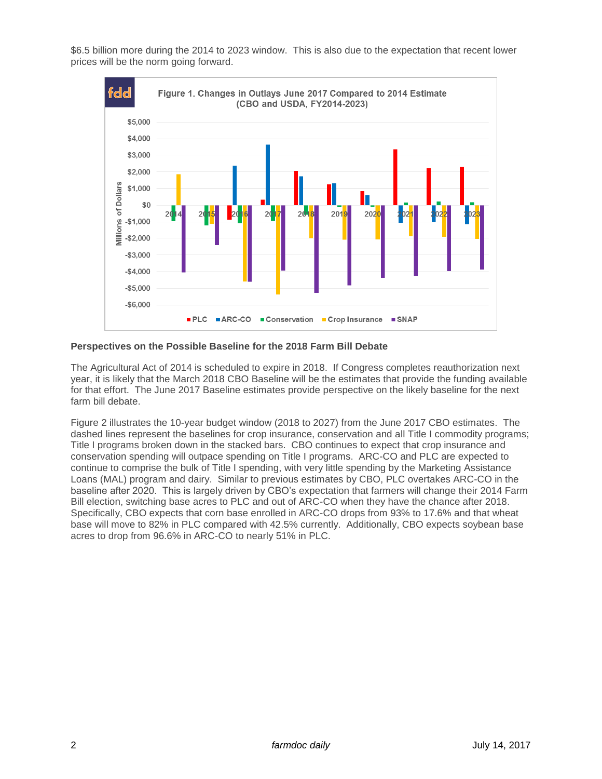\$6.5 billion more during the 2014 to 2023 window. This is also due to the expectation that recent lower prices will be the norm going forward.



**Perspectives on the Possible Baseline for the 2018 Farm Bill Debate** 

The Agricultural Act of 2014 is scheduled to expire in 2018. If Congress completes reauthorization next year, it is likely that the March 2018 CBO Baseline will be the estimates that provide the funding available for that effort. The June 2017 Baseline estimates provide perspective on the likely baseline for the next farm bill debate.

Figure 2 illustrates the 10-year budget window (2018 to 2027) from the June 2017 CBO estimates. The dashed lines represent the baselines for crop insurance, conservation and all Title I commodity programs; Title I programs broken down in the stacked bars. CBO continues to expect that crop insurance and conservation spending will outpace spending on Title I programs. ARC-CO and PLC are expected to continue to comprise the bulk of Title I spending, with very little spending by the Marketing Assistance Loans (MAL) program and dairy. Similar to previous estimates by CBO, PLC overtakes ARC-CO in the baseline after 2020. This is largely driven by CBO's expectation that farmers will change their 2014 Farm Bill election, switching base acres to PLC and out of ARC-CO when they have the chance after 2018. Specifically, CBO expects that corn base enrolled in ARC-CO drops from 93% to 17.6% and that wheat base will move to 82% in PLC compared with 42.5% currently. Additionally, CBO expects soybean base acres to drop from 96.6% in ARC-CO to nearly 51% in PLC.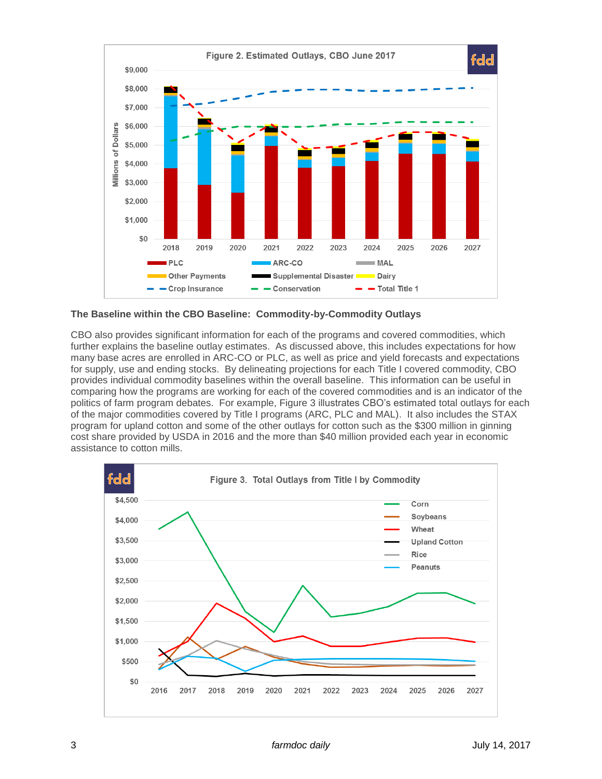

**The Baseline within the CBO Baseline: Commodity-by-Commodity Outlays**

CBO also provides significant information for each of the programs and covered commodities, which further explains the baseline outlay estimates. As discussed above, this includes expectations for how many base acres are enrolled in ARC-CO or PLC, as well as price and yield forecasts and expectations for supply, use and ending stocks. By delineating projections for each Title I covered commodity, CBO provides individual commodity baselines within the overall baseline. This information can be useful in comparing how the programs are working for each of the covered commodities and is an indicator of the politics of farm program debates. For example, Figure 3 illustrates CBO's estimated total outlays for each of the major commodities covered by Title I programs (ARC, PLC and MAL). It also includes the STAX program for upland cotton and some of the other outlays for cotton such as the \$300 million in ginning cost share provided by USDA in 2016 and the more than \$40 million provided each year in economic assistance to cotton mills.

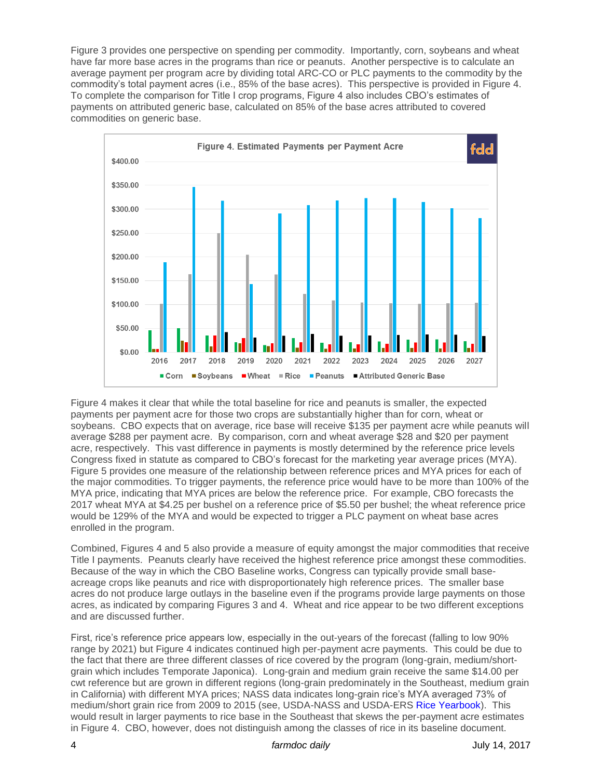Figure 3 provides one perspective on spending per commodity. Importantly, corn, soybeans and wheat have far more base acres in the programs than rice or peanuts. Another perspective is to calculate an average payment per program acre by dividing total ARC-CO or PLC payments to the commodity by the commodity's total payment acres (i.e., 85% of the base acres). This perspective is provided in Figure 4. To complete the comparison for Title I crop programs, Figure 4 also includes CBO's estimates of payments on attributed generic base, calculated on 85% of the base acres attributed to covered commodities on generic base.



Figure 4 makes it clear that while the total baseline for rice and peanuts is smaller, the expected payments per payment acre for those two crops are substantially higher than for corn, wheat or soybeans. CBO expects that on average, rice base will receive \$135 per payment acre while peanuts will average \$288 per payment acre. By comparison, corn and wheat average \$28 and \$20 per payment acre, respectively. This vast difference in payments is mostly determined by the reference price levels Congress fixed in statute as compared to CBO's forecast for the marketing year average prices (MYA). Figure 5 provides one measure of the relationship between reference prices and MYA prices for each of the major commodities. To trigger payments, the reference price would have to be more than 100% of the MYA price, indicating that MYA prices are below the reference price. For example, CBO forecasts the 2017 wheat MYA at \$4.25 per bushel on a reference price of \$5.50 per bushel; the wheat reference price would be 129% of the MYA and would be expected to trigger a PLC payment on wheat base acres enrolled in the program.

Combined, Figures 4 and 5 also provide a measure of equity amongst the major commodities that receive Title I payments. Peanuts clearly have received the highest reference price amongst these commodities. Because of the way in which the CBO Baseline works, Congress can typically provide small baseacreage crops like peanuts and rice with disproportionately high reference prices. The smaller base acres do not produce large outlays in the baseline even if the programs provide large payments on those acres, as indicated by comparing Figures 3 and 4. Wheat and rice appear to be two different exceptions and are discussed further.

First, rice's reference price appears low, especially in the out-years of the forecast (falling to low 90% range by 2021) but Figure 4 indicates continued high per-payment acre payments. This could be due to the fact that there are three different classes of rice covered by the program (long-grain, medium/shortgrain which includes Temporate Japonica). Long-grain and medium grain receive the same \$14.00 per cwt reference but are grown in different regions (long-grain predominately in the Southeast, medium grain in California) with different MYA prices; NASS data indicates long-grain rice's MYA averaged 73% of medium/short grain rice from 2009 to 2015 (see, USDA-NASS and USDA-ERS [Rice Yearbook\)](http://usda.mannlib.cornell.edu/MannUsda/viewDocumentInfo.do?documentID=1229). This would result in larger payments to rice base in the Southeast that skews the per-payment acre estimates in Figure 4. CBO, however, does not distinguish among the classes of rice in its baseline document.